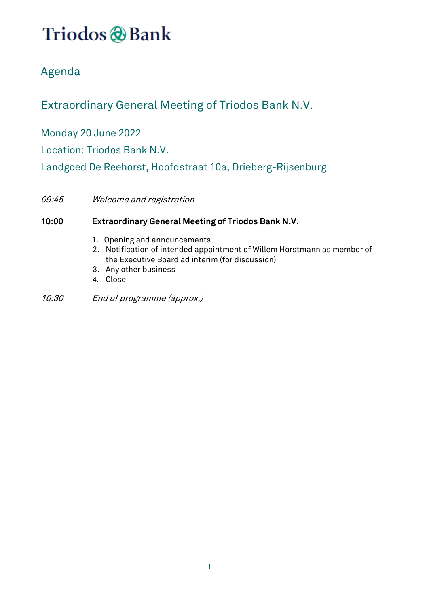# Triodos @Bank

### Agenda

### Extraordinary General Meeting of Triodos Bank N.V.

Monday 20 June 2022

Location: Triodos Bank N.V.

Landgoed De Reehorst, Hoofdstraat 10a, Drieberg-Rijsenburg

09:45 Welcome and registration

### **10:00 Extraordinary General Meeting of Triodos Bank N.V.**

- 1. Opening and announcements
- 2. Notification of intended appointment of Willem Horstmann as member of the Executive Board ad interim (for discussion)
- 3. Any other business
- 4. Close
- 10:30 End of programme (approx.)